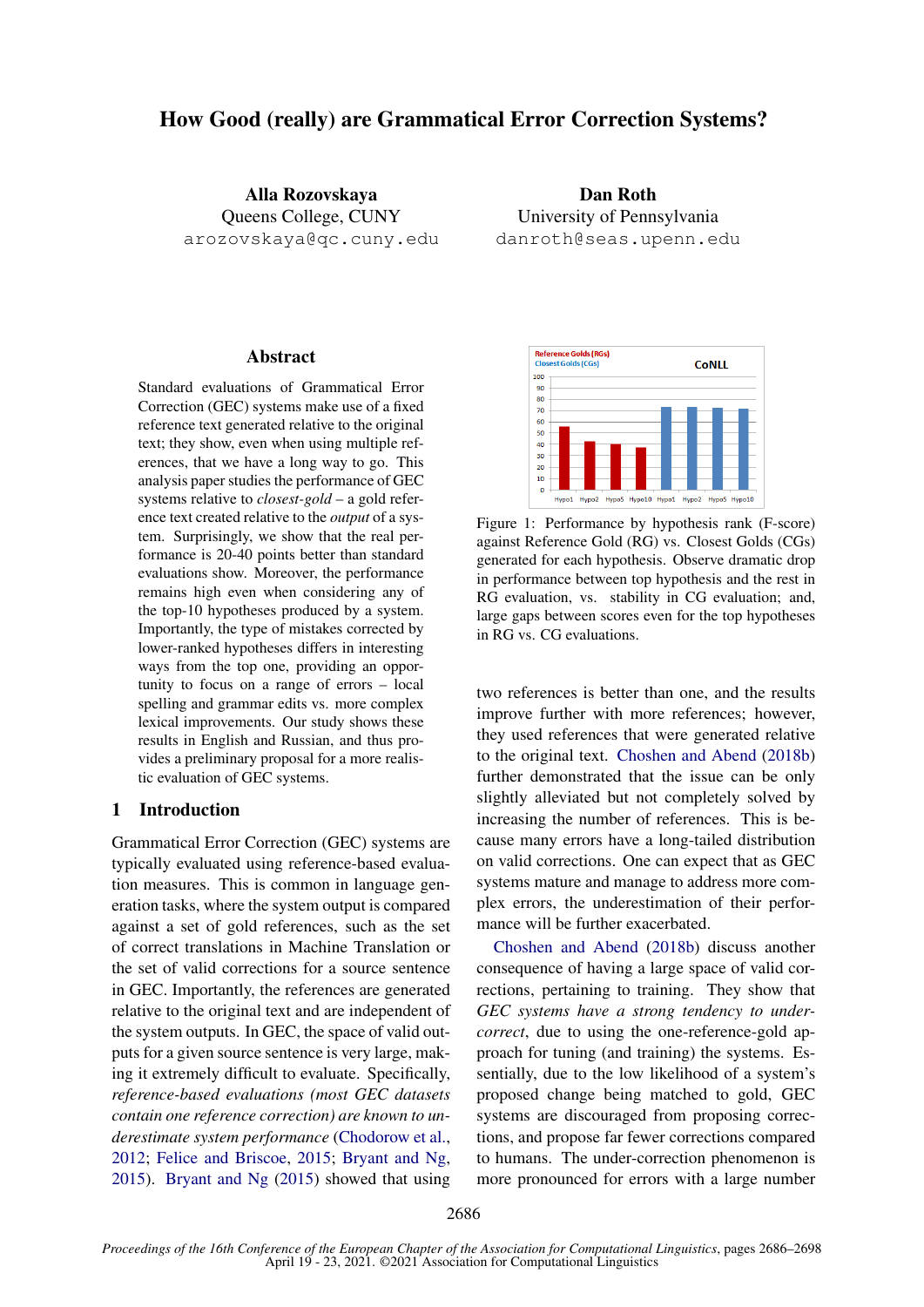# How Good (really) are Grammatical Error Correction Systems?

Alla Rozovskaya Queens College, CUNY arozovskaya@qc.cuny.edu

Dan Roth University of Pennsylvania danroth@seas.upenn.edu

# **Abstract**

Standard evaluations of Grammatical Error Correction (GEC) systems make use of a fixed reference text generated relative to the original text; they show, even when using multiple references, that we have a long way to go. This analysis paper studies the performance of GEC systems relative to *closest-gold* – a gold reference text created relative to the *output* of a system. Surprisingly, we show that the real performance is 20-40 points better than standard evaluations show. Moreover, the performance remains high even when considering any of the top-10 hypotheses produced by a system. Importantly, the type of mistakes corrected by lower-ranked hypotheses differs in interesting ways from the top one, providing an opportunity to focus on a range of errors – local spelling and grammar edits vs. more complex lexical improvements. Our study shows these results in English and Russian, and thus provides a preliminary proposal for a more realistic evaluation of GEC systems.

## 1 Introduction

Grammatical Error Correction (GEC) systems are typically evaluated using reference-based evaluation measures. This is common in language generation tasks, where the system output is compared against a set of gold references, such as the set of correct translations in Machine Translation or the set of valid corrections for a source sentence in GEC. Importantly, the references are generated relative to the original text and are independent of the system outputs. In GEC, the space of valid outputs for a given source sentence is very large, making it extremely difficult to evaluate. Specifically, *reference-based evaluations (most GEC datasets contain one reference correction) are known to underestimate system performance* [\(Chodorow et al.,](#page-8-0) [2012;](#page-8-0) [Felice and Briscoe,](#page-8-1) [2015;](#page-8-1) [Bryant and Ng,](#page-8-2) [2015\)](#page-8-2). [Bryant and Ng](#page-8-2) [\(2015\)](#page-8-2) showed that using

<span id="page-0-0"></span>

Figure 1: Performance by hypothesis rank (F-score) against Reference Gold (RG) vs. Closest Golds (CGs) generated for each hypothesis. Observe dramatic drop in performance between top hypothesis and the rest in RG evaluation, vs. stability in CG evaluation; and, large gaps between scores even for the top hypotheses in RG vs. CG evaluations.

two references is better than one, and the results improve further with more references; however, they used references that were generated relative to the original text. [Choshen and Abend](#page-8-3) [\(2018b\)](#page-8-3) further demonstrated that the issue can be only slightly alleviated but not completely solved by increasing the number of references. This is because many errors have a long-tailed distribution on valid corrections. One can expect that as GEC systems mature and manage to address more complex errors, the underestimation of their performance will be further exacerbated.

[Choshen and Abend](#page-8-3) [\(2018b\)](#page-8-3) discuss another consequence of having a large space of valid corrections, pertaining to training. They show that *GEC systems have a strong tendency to undercorrect*, due to using the one-reference-gold approach for tuning (and training) the systems. Essentially, due to the low likelihood of a system's proposed change being matched to gold, GEC systems are discouraged from proposing corrections, and propose far fewer corrections compared to humans. The under-correction phenomenon is more pronounced for errors with a large number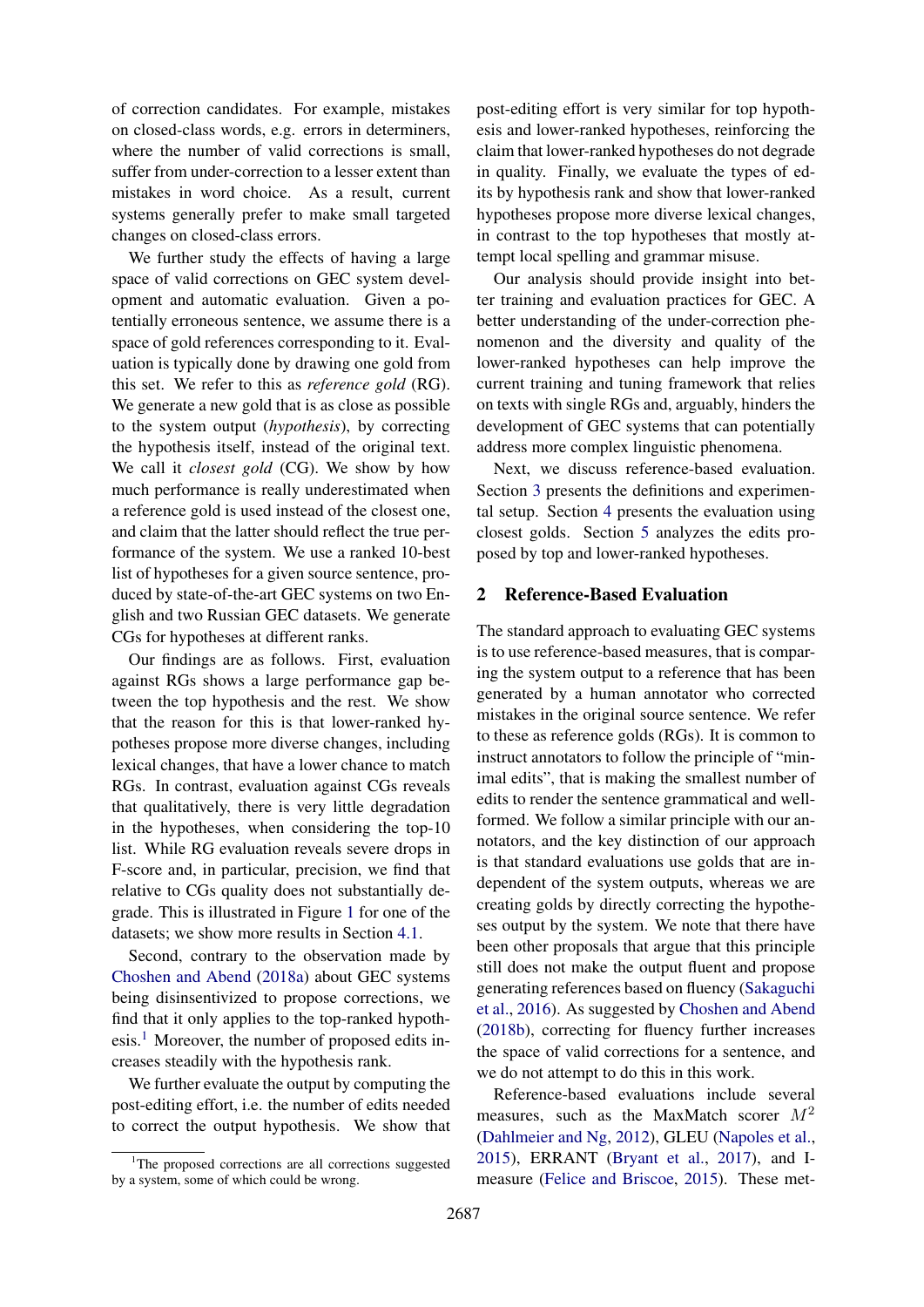of correction candidates. For example, mistakes on closed-class words, e.g. errors in determiners, where the number of valid corrections is small, suffer from under-correction to a lesser extent than mistakes in word choice. As a result, current systems generally prefer to make small targeted changes on closed-class errors.

We further study the effects of having a large space of valid corrections on GEC system development and automatic evaluation. Given a potentially erroneous sentence, we assume there is a space of gold references corresponding to it. Evaluation is typically done by drawing one gold from this set. We refer to this as *reference gold* (RG). We generate a new gold that is as close as possible to the system output (*hypothesis*), by correcting the hypothesis itself, instead of the original text. We call it *closest gold* (CG). We show by how much performance is really underestimated when a reference gold is used instead of the closest one, and claim that the latter should reflect the true performance of the system. We use a ranked 10-best list of hypotheses for a given source sentence, produced by state-of-the-art GEC systems on two English and two Russian GEC datasets. We generate CGs for hypotheses at different ranks.

Our findings are as follows. First, evaluation against RGs shows a large performance gap between the top hypothesis and the rest. We show that the reason for this is that lower-ranked hypotheses propose more diverse changes, including lexical changes, that have a lower chance to match RGs. In contrast, evaluation against CGs reveals that qualitatively, there is very little degradation in the hypotheses, when considering the top-10 list. While RG evaluation reveals severe drops in F-score and, in particular, precision, we find that relative to CGs quality does not substantially degrade. This is illustrated in Figure [1](#page-0-0) for one of the datasets; we show more results in Section [4.1.](#page-4-0)

Second, contrary to the observation made by [Choshen and Abend](#page-8-4) [\(2018a\)](#page-8-4) about GEC systems being disinsentivized to propose corrections, we find that it only applies to the top-ranked hypothesis.[1](#page-1-0) Moreover, the number of proposed edits increases steadily with the hypothesis rank.

We further evaluate the output by computing the post-editing effort, i.e. the number of edits needed to correct the output hypothesis. We show that post-editing effort is very similar for top hypothesis and lower-ranked hypotheses, reinforcing the claim that lower-ranked hypotheses do not degrade in quality. Finally, we evaluate the types of edits by hypothesis rank and show that lower-ranked hypotheses propose more diverse lexical changes, in contrast to the top hypotheses that mostly attempt local spelling and grammar misuse.

Our analysis should provide insight into better training and evaluation practices for GEC. A better understanding of the under-correction phenomenon and the diversity and quality of the lower-ranked hypotheses can help improve the current training and tuning framework that relies on texts with single RGs and, arguably, hinders the development of GEC systems that can potentially address more complex linguistic phenomena.

Next, we discuss reference-based evaluation. Section [3](#page-2-0) presents the definitions and experimental setup. Section [4](#page-4-1) presents the evaluation using closest golds. Section [5](#page-6-0) analyzes the edits proposed by top and lower-ranked hypotheses.

# 2 Reference-Based Evaluation

The standard approach to evaluating GEC systems is to use reference-based measures, that is comparing the system output to a reference that has been generated by a human annotator who corrected mistakes in the original source sentence. We refer to these as reference golds (RGs). It is common to instruct annotators to follow the principle of "minimal edits", that is making the smallest number of edits to render the sentence grammatical and wellformed. We follow a similar principle with our annotators, and the key distinction of our approach is that standard evaluations use golds that are independent of the system outputs, whereas we are creating golds by directly correcting the hypotheses output by the system. We note that there have been other proposals that argue that this principle still does not make the output fluent and propose generating references based on fluency [\(Sakaguchi](#page-9-0) [et al.,](#page-9-0) [2016\)](#page-9-0). As suggested by [Choshen and Abend](#page-8-3) [\(2018b\)](#page-8-3), correcting for fluency further increases the space of valid corrections for a sentence, and we do not attempt to do this in this work.

Reference-based evaluations include several measures, such as the MaxMatch scorer  $M<sup>2</sup>$ [\(Dahlmeier and Ng,](#page-8-5) [2012\)](#page-8-5), GLEU [\(Napoles et al.,](#page-9-1) [2015\)](#page-9-1), ERRANT [\(Bryant et al.,](#page-8-6) [2017\)](#page-8-6), and Imeasure [\(Felice and Briscoe,](#page-8-1) [2015\)](#page-8-1). These met-

<span id="page-1-0"></span> $1$ The proposed corrections are all corrections suggested by a system, some of which could be wrong.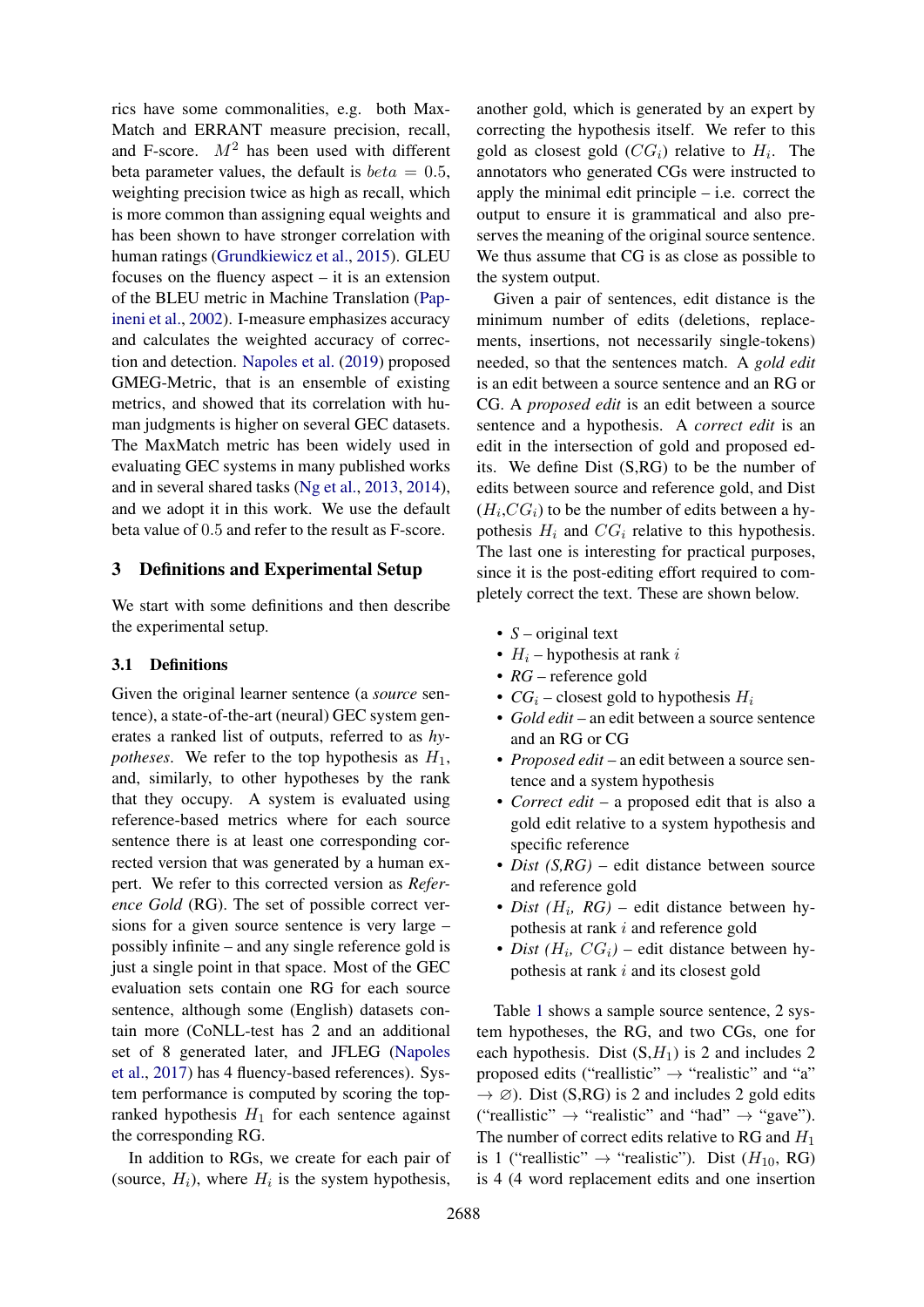rics have some commonalities, e.g. both Max-Match and ERRANT measure precision, recall, and F-score.  $M^2$  has been used with different beta parameter values, the default is  $beta = 0.5$ , weighting precision twice as high as recall, which is more common than assigning equal weights and has been shown to have stronger correlation with human ratings [\(Grundkiewicz et al.,](#page-8-7) [2015\)](#page-8-7). GLEU focuses on the fluency aspect – it is an extension of the BLEU metric in Machine Translation [\(Pap](#page-9-2)[ineni et al.,](#page-9-2) [2002\)](#page-9-2). I-measure emphasizes accuracy and calculates the weighted accuracy of correction and detection. [Napoles et al.](#page-8-8) [\(2019\)](#page-8-8) proposed GMEG-Metric, that is an ensemble of existing metrics, and showed that its correlation with human judgments is higher on several GEC datasets. The MaxMatch metric has been widely used in evaluating GEC systems in many published works and in several shared tasks [\(Ng et al.,](#page-9-3) [2013,](#page-9-3) [2014\)](#page-9-4), and we adopt it in this work. We use the default beta value of 0.5 and refer to the result as F-score.

### <span id="page-2-0"></span>3 Definitions and Experimental Setup

We start with some definitions and then describe the experimental setup.

### 3.1 Definitions

Given the original learner sentence (a *source* sentence), a state-of-the-art (neural) GEC system generates a ranked list of outputs, referred to as *hypotheses*. We refer to the top hypothesis as  $H_1$ , and, similarly, to other hypotheses by the rank that they occupy. A system is evaluated using reference-based metrics where for each source sentence there is at least one corresponding corrected version that was generated by a human expert. We refer to this corrected version as *Reference Gold* (RG). The set of possible correct versions for a given source sentence is very large – possibly infinite – and any single reference gold is just a single point in that space. Most of the GEC evaluation sets contain one RG for each source sentence, although some (English) datasets contain more (CoNLL-test has 2 and an additional set of 8 generated later, and JFLEG [\(Napoles](#page-9-5) [et al.,](#page-9-5) [2017\)](#page-9-5) has 4 fluency-based references). System performance is computed by scoring the topranked hypothesis  $H_1$  for each sentence against the corresponding RG.

In addition to RGs, we create for each pair of (source,  $H_i$ ), where  $H_i$  is the system hypothesis,

another gold, which is generated by an expert by correcting the hypothesis itself. We refer to this gold as closest gold  $(CG_i)$  relative to  $H_i$ . The annotators who generated CGs were instructed to apply the minimal edit principle – i.e. correct the output to ensure it is grammatical and also preserves the meaning of the original source sentence. We thus assume that CG is as close as possible to the system output.

Given a pair of sentences, edit distance is the minimum number of edits (deletions, replacements, insertions, not necessarily single-tokens) needed, so that the sentences match. A *gold edit* is an edit between a source sentence and an RG or CG. A *proposed edit* is an edit between a source sentence and a hypothesis. A *correct edit* is an edit in the intersection of gold and proposed edits. We define Dist (S,RG) to be the number of edits between source and reference gold, and Dist  $(H_i, CG_i)$  to be the number of edits between a hypothesis  $H_i$  and  $CG_i$  relative to this hypothesis. The last one is interesting for practical purposes, since it is the post-editing effort required to completely correct the text. These are shown below.

- *S* original text
- $H_i$  hypothesis at rank i
- *RG* reference gold
- $CG_i$  closest gold to hypothesis  $H_i$
- *Gold edit* an edit between a source sentence and an RG or CG
- *Proposed edit* an edit between a source sentence and a system hypothesis
- *Correct edit* a proposed edit that is also a gold edit relative to a system hypothesis and specific reference
- *Dist (S,RG)* edit distance between source and reference gold
- *Dist* (*H<sub>i</sub>*, *RG*) edit distance between hypothesis at rank i and reference gold
- *Dist*  $(H_i, CG_i)$  edit distance between hypothesis at rank i and its closest gold

Table [1](#page-3-0) shows a sample source sentence, 2 system hypotheses, the RG, and two CGs, one for each hypothesis. Dist  $(S,H_1)$  is 2 and includes 2 proposed edits ("reallistic"  $\rightarrow$  "realistic" and "a"  $\rightarrow \emptyset$ ). Dist (S,RG) is 2 and includes 2 gold edits ("reallistic"  $\rightarrow$  "realistic" and "had"  $\rightarrow$  "gave"). The number of correct edits relative to RG and  $H_1$ is 1 ("reallistic"  $\rightarrow$  "realistic"). Dist ( $H_{10}$ , RG) is 4 (4 word replacement edits and one insertion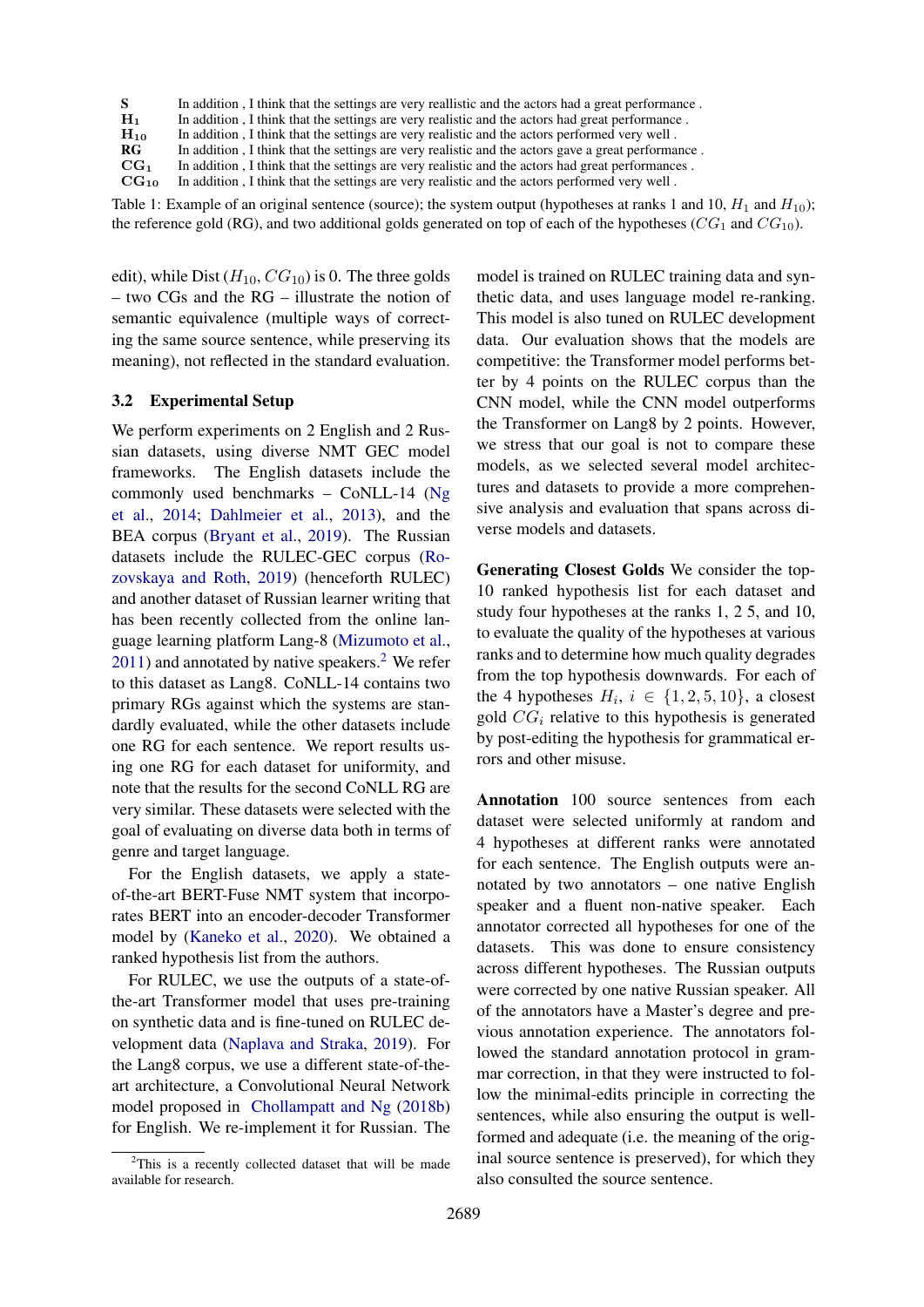<span id="page-3-0"></span>

| S.               | In addition, I think that the settings are very reallistic and the actors had a great performance. |
|------------------|----------------------------------------------------------------------------------------------------|
| $H_1$            | In addition, I think that the settings are very realistic and the actors had great performance.    |
| $H_{10}$         | In addition, I think that the settings are very realistic and the actors performed very well.      |
| RG               | In addition, I think that the settings are very realistic and the actors gave a great performance. |
| CG <sub>1</sub>  | In addition, I think that the settings are very realistic and the actors had great performances.   |
| CG <sub>10</sub> | In addition, I think that the settings are very realistic and the actors performed very well.      |

Table 1: Example of an original sentence (source); the system output (hypotheses at ranks 1 and 10,  $H_1$  and  $H_{10}$ ); the reference gold (RG), and two additional golds generated on top of each of the hypotheses ( $CG_1$  and  $CG_{10}$ ).

edit), while Dist  $(H_{10}, CG_{10})$  is 0. The three golds – two CGs and the RG – illustrate the notion of semantic equivalence (multiple ways of correcting the same source sentence, while preserving its meaning), not reflected in the standard evaluation.

## 3.2 Experimental Setup

We perform experiments on 2 English and 2 Russian datasets, using diverse NMT GEC model frameworks. The English datasets include the commonly used benchmarks – CoNLL-14 [\(Ng](#page-9-4) [et al.,](#page-9-4) [2014;](#page-9-4) [Dahlmeier et al.,](#page-8-9) [2013\)](#page-8-9), and the BEA corpus [\(Bryant et al.,](#page-8-10) [2019\)](#page-8-10). The Russian datasets include the RULEC-GEC corpus [\(Ro](#page-9-6)[zovskaya and Roth,](#page-9-6) [2019\)](#page-9-6) (henceforth RULEC) and another dataset of Russian learner writing that has been recently collected from the online language learning platform Lang-8 [\(Mizumoto et al.,](#page-8-11) [2011\)](#page-8-11) and annotated by native speakers.<sup>[2](#page-3-1)</sup> We refer to this dataset as Lang8. CoNLL-14 contains two primary RGs against which the systems are standardly evaluated, while the other datasets include one RG for each sentence. We report results using one RG for each dataset for uniformity, and note that the results for the second CoNLL RG are very similar. These datasets were selected with the goal of evaluating on diverse data both in terms of genre and target language.

For the English datasets, we apply a stateof-the-art BERT-Fuse NMT system that incorporates BERT into an encoder-decoder Transformer model by [\(Kaneko et al.,](#page-8-12) [2020\)](#page-8-12). We obtained a ranked hypothesis list from the authors.

For RULEC, we use the outputs of a state-ofthe-art Transformer model that uses pre-training on synthetic data and is fine-tuned on RULEC development data [\(Naplava and Straka,](#page-8-13) [2019\)](#page-8-13). For the Lang8 corpus, we use a different state-of-theart architecture, a Convolutional Neural Network model proposed in [Chollampatt and Ng](#page-8-14) [\(2018b\)](#page-8-14) for English. We re-implement it for Russian. The

model is trained on RULEC training data and synthetic data, and uses language model re-ranking. This model is also tuned on RULEC development data. Our evaluation shows that the models are competitive: the Transformer model performs better by 4 points on the RULEC corpus than the CNN model, while the CNN model outperforms the Transformer on Lang8 by 2 points. However, we stress that our goal is not to compare these models, as we selected several model architectures and datasets to provide a more comprehensive analysis and evaluation that spans across diverse models and datasets.

Generating Closest Golds We consider the top-10 ranked hypothesis list for each dataset and study four hypotheses at the ranks 1, 2 5, and 10, to evaluate the quality of the hypotheses at various ranks and to determine how much quality degrades from the top hypothesis downwards. For each of the 4 hypotheses  $H_i$ ,  $i \in \{1, 2, 5, 10\}$ , a closest gold  $CG<sub>i</sub>$  relative to this hypothesis is generated by post-editing the hypothesis for grammatical errors and other misuse.

Annotation 100 source sentences from each dataset were selected uniformly at random and 4 hypotheses at different ranks were annotated for each sentence. The English outputs were annotated by two annotators – one native English speaker and a fluent non-native speaker. Each annotator corrected all hypotheses for one of the datasets. This was done to ensure consistency across different hypotheses. The Russian outputs were corrected by one native Russian speaker. All of the annotators have a Master's degree and previous annotation experience. The annotators followed the standard annotation protocol in grammar correction, in that they were instructed to follow the minimal-edits principle in correcting the sentences, while also ensuring the output is wellformed and adequate (i.e. the meaning of the original source sentence is preserved), for which they also consulted the source sentence.

<span id="page-3-1"></span> $2$ This is a recently collected dataset that will be made available for research.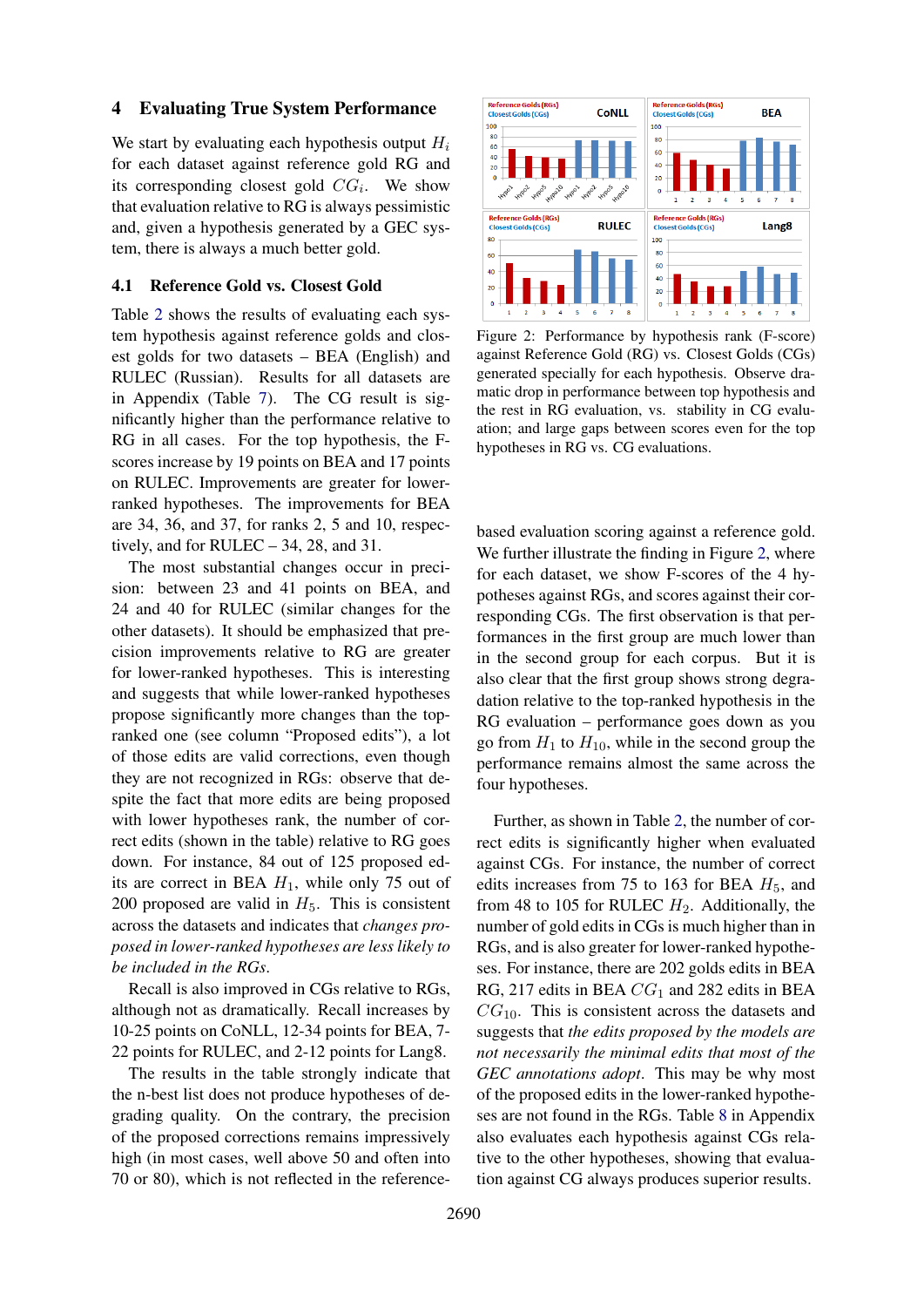### <span id="page-4-1"></span>4 Evaluating True System Performance

We start by evaluating each hypothesis output  $H_i$ for each dataset against reference gold RG and its corresponding closest gold  $CG_i$ . We show that evaluation relative to RG is always pessimistic and, given a hypothesis generated by a GEC system, there is always a much better gold.

#### <span id="page-4-0"></span>4.1 Reference Gold vs. Closest Gold

Table [2](#page-5-0) shows the results of evaluating each system hypothesis against reference golds and closest golds for two datasets – BEA (English) and RULEC (Russian). Results for all datasets are in Appendix (Table [7\)](#page-11-0). The CG result is significantly higher than the performance relative to RG in all cases. For the top hypothesis, the Fscores increase by 19 points on BEA and 17 points on RULEC. Improvements are greater for lowerranked hypotheses. The improvements for BEA are 34, 36, and 37, for ranks 2, 5 and 10, respectively, and for RULEC – 34, 28, and 31.

The most substantial changes occur in precision: between 23 and 41 points on BEA, and 24 and 40 for RULEC (similar changes for the other datasets). It should be emphasized that precision improvements relative to RG are greater for lower-ranked hypotheses. This is interesting and suggests that while lower-ranked hypotheses propose significantly more changes than the topranked one (see column "Proposed edits"), a lot of those edits are valid corrections, even though they are not recognized in RGs: observe that despite the fact that more edits are being proposed with lower hypotheses rank, the number of correct edits (shown in the table) relative to RG goes down. For instance, 84 out of 125 proposed edits are correct in BEA  $H_1$ , while only 75 out of 200 proposed are valid in  $H<sub>5</sub>$ . This is consistent across the datasets and indicates that *changes proposed in lower-ranked hypotheses are less likely to be included in the RGs*.

Recall is also improved in CGs relative to RGs, although not as dramatically. Recall increases by 10-25 points on CoNLL, 12-34 points for BEA, 7- 22 points for RULEC, and 2-12 points for Lang8.

The results in the table strongly indicate that the n-best list does not produce hypotheses of degrading quality. On the contrary, the precision of the proposed corrections remains impressively high (in most cases, well above 50 and often into 70 or 80), which is not reflected in the reference-

<span id="page-4-2"></span>

Figure 2: Performance by hypothesis rank (F-score) against Reference Gold (RG) vs. Closest Golds (CGs) generated specially for each hypothesis. Observe dramatic drop in performance between top hypothesis and the rest in RG evaluation, vs. stability in CG evaluation; and large gaps between scores even for the top hypotheses in RG vs. CG evaluations.

based evaluation scoring against a reference gold. We further illustrate the finding in Figure [2,](#page-4-2) where for each dataset, we show F-scores of the 4 hypotheses against RGs, and scores against their corresponding CGs. The first observation is that performances in the first group are much lower than in the second group for each corpus. But it is also clear that the first group shows strong degradation relative to the top-ranked hypothesis in the RG evaluation – performance goes down as you go from  $H_1$  to  $H_{10}$ , while in the second group the performance remains almost the same across the four hypotheses.

Further, as shown in Table [2,](#page-5-0) the number of correct edits is significantly higher when evaluated against CGs. For instance, the number of correct edits increases from 75 to 163 for BEA  $H_5$ , and from 48 to 105 for RULEC  $H_2$ . Additionally, the number of gold edits in CGs is much higher than in RGs, and is also greater for lower-ranked hypotheses. For instance, there are 202 golds edits in BEA RG, 217 edits in BEA  $CG<sub>1</sub>$  and 282 edits in BEA  $CG<sub>10</sub>$ . This is consistent across the datasets and suggests that *the edits proposed by the models are not necessarily the minimal edits that most of the GEC annotations adopt*. This may be why most of the proposed edits in the lower-ranked hypotheses are not found in the RGs. Table [8](#page-12-0) in Appendix also evaluates each hypothesis against CGs relative to the other hypotheses, showing that evaluation against CG always produces superior results.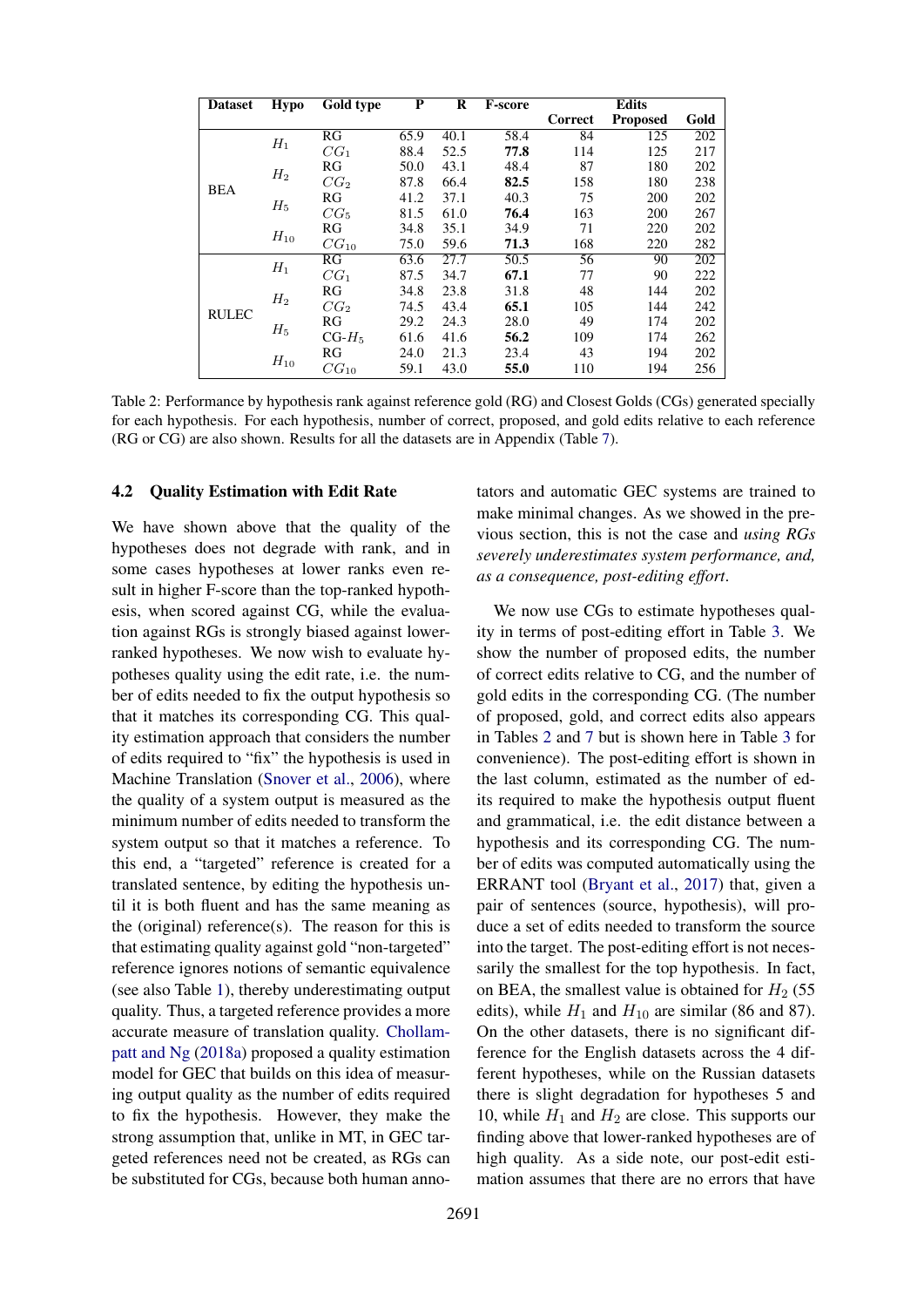<span id="page-5-0"></span>

| <b>Dataset</b> | Hypo     | Gold type       | P    | R    | F-score |         | <b>Edits</b>    |      |
|----------------|----------|-----------------|------|------|---------|---------|-----------------|------|
|                |          |                 |      |      |         | Correct | <b>Proposed</b> | Gold |
|                | $H_1$    | RG              | 65.9 | 40.1 | 58.4    | 84      | 125             | 202  |
|                |          | $CG_1$          | 88.4 | 52.5 | 77.8    | 114     | 125             | 217  |
|                | $H_2$    | RG              | 50.0 | 43.1 | 48.4    | 87      | 180             | 202  |
| <b>BEA</b>     |          | CG <sub>2</sub> | 87.8 | 66.4 | 82.5    | 158     | 180             | 238  |
|                | $H_5$    | RG              | 41.2 | 37.1 | 40.3    | 75      | 200             | 202  |
|                |          | $CG_5$          | 81.5 | 61.0 | 76.4    | 163     | 200             | 267  |
|                |          | RG              | 34.8 | 35.1 | 34.9    | 71      | 220             | 202  |
|                | $H_{10}$ | $CG_{10}$       | 75.0 | 59.6 | 71.3    | 168     | 220             | 282  |
|                | $H_1$    | RG              | 63.6 | 27.7 | 50.5    | 56      | 90              | 202  |
|                |          | $CG_1$          | 87.5 | 34.7 | 67.1    | 77      | 90              | 222  |
|                | $H_2$    | RG              | 34.8 | 23.8 | 31.8    | 48      | 144             | 202  |
| <b>RULEC</b>   |          | CG <sub>2</sub> | 74.5 | 43.4 | 65.1    | 105     | 144             | 242  |
|                |          | RG              | 29.2 | 24.3 | 28.0    | 49      | 174             | 202  |
|                | $H_5$    | $CG-H5$         | 61.6 | 41.6 | 56.2    | 109     | 174             | 262  |
|                |          | RG              | 24.0 | 21.3 | 23.4    | 43      | 194             | 202  |
|                | $H_{10}$ | $CG_{10}$       | 59.1 | 43.0 | 55.0    | 110     | 194             | 256  |

Table 2: Performance by hypothesis rank against reference gold (RG) and Closest Golds (CGs) generated specially for each hypothesis. For each hypothesis, number of correct, proposed, and gold edits relative to each reference (RG or CG) are also shown. Results for all the datasets are in Appendix (Table [7\)](#page-11-0).

#### 4.2 Quality Estimation with Edit Rate

We have shown above that the quality of the hypotheses does not degrade with rank, and in some cases hypotheses at lower ranks even result in higher F-score than the top-ranked hypothesis, when scored against CG, while the evaluation against RGs is strongly biased against lowerranked hypotheses. We now wish to evaluate hypotheses quality using the edit rate, i.e. the number of edits needed to fix the output hypothesis so that it matches its corresponding CG. This quality estimation approach that considers the number of edits required to "fix" the hypothesis is used in Machine Translation [\(Snover et al.,](#page-9-7) [2006\)](#page-9-7), where the quality of a system output is measured as the minimum number of edits needed to transform the system output so that it matches a reference. To this end, a "targeted" reference is created for a translated sentence, by editing the hypothesis until it is both fluent and has the same meaning as the (original) reference(s). The reason for this is that estimating quality against gold "non-targeted" reference ignores notions of semantic equivalence (see also Table [1\)](#page-3-0), thereby underestimating output quality. Thus, a targeted reference provides a more accurate measure of translation quality. [Chollam](#page-8-15)[patt and Ng](#page-8-15) [\(2018a\)](#page-8-15) proposed a quality estimation model for GEC that builds on this idea of measuring output quality as the number of edits required to fix the hypothesis. However, they make the strong assumption that, unlike in MT, in GEC targeted references need not be created, as RGs can be substituted for CGs, because both human annotators and automatic GEC systems are trained to make minimal changes. As we showed in the previous section, this is not the case and *using RGs severely underestimates system performance, and, as a consequence, post-editing effort*.

We now use CGs to estimate hypotheses quality in terms of post-editing effort in Table [3.](#page-6-1) We show the number of proposed edits, the number of correct edits relative to CG, and the number of gold edits in the corresponding CG. (The number of proposed, gold, and correct edits also appears in Tables [2](#page-5-0) and [7](#page-11-0) but is shown here in Table [3](#page-6-1) for convenience). The post-editing effort is shown in the last column, estimated as the number of edits required to make the hypothesis output fluent and grammatical, i.e. the edit distance between a hypothesis and its corresponding CG. The number of edits was computed automatically using the ERRANT tool [\(Bryant et al.,](#page-8-6) [2017\)](#page-8-6) that, given a pair of sentences (source, hypothesis), will produce a set of edits needed to transform the source into the target. The post-editing effort is not necessarily the smallest for the top hypothesis. In fact, on BEA, the smallest value is obtained for  $H<sub>2</sub>$  (55) edits), while  $H_1$  and  $H_{10}$  are similar (86 and 87). On the other datasets, there is no significant difference for the English datasets across the 4 different hypotheses, while on the Russian datasets there is slight degradation for hypotheses 5 and 10, while  $H_1$  and  $H_2$  are close. This supports our finding above that lower-ranked hypotheses are of high quality. As a side note, our post-edit estimation assumes that there are no errors that have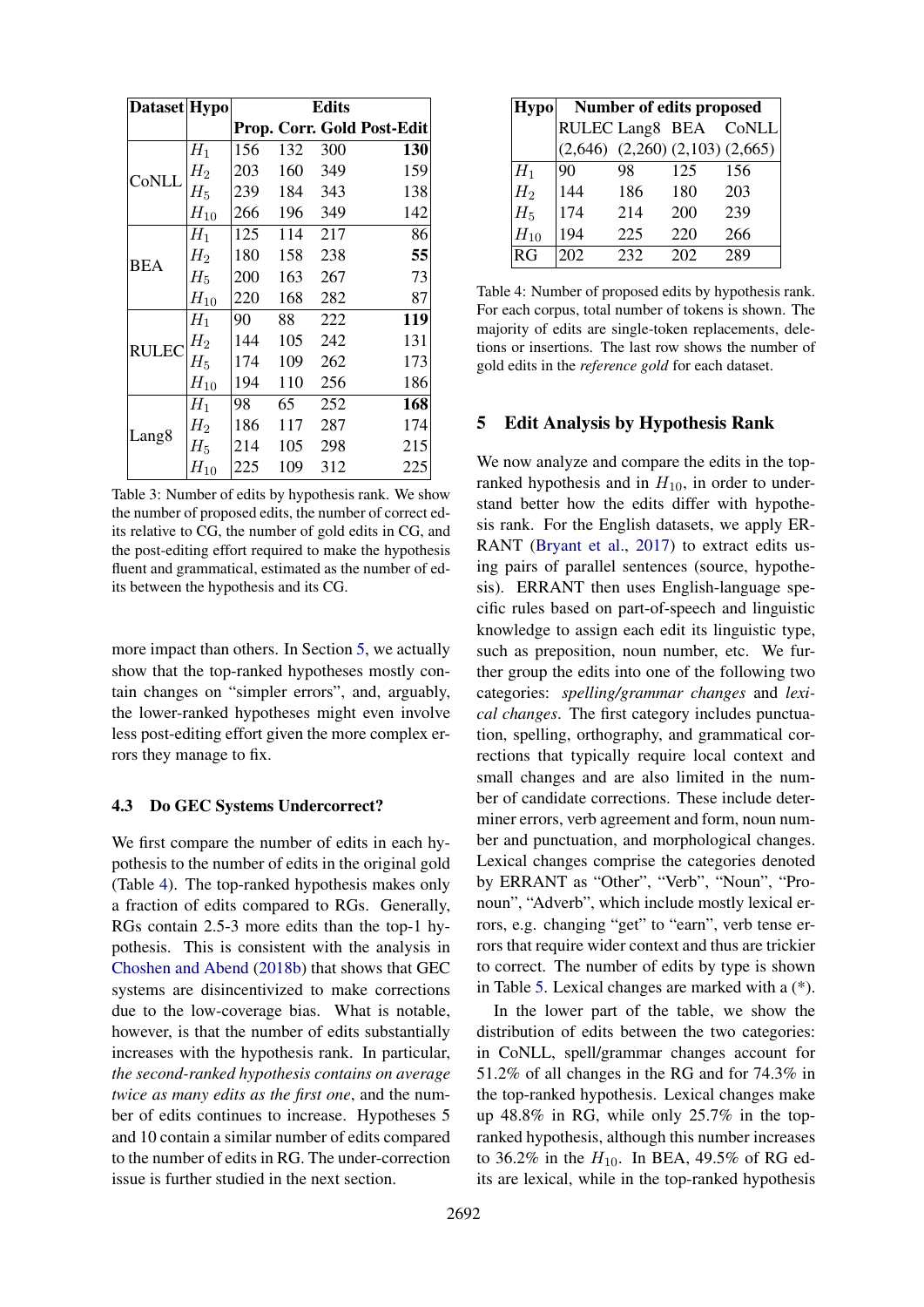<span id="page-6-1"></span>

| Dataset Hypo      |          |                                                                                                                                                                                                                     |     | <b>Edits</b> |     |
|-------------------|----------|---------------------------------------------------------------------------------------------------------------------------------------------------------------------------------------------------------------------|-----|--------------|-----|
|                   |          |                                                                                                                                                                                                                     |     |              |     |
|                   | $H_1$    | 156                                                                                                                                                                                                                 | 132 | 300          | 130 |
| CoNLL             | $H_2$    | 203                                                                                                                                                                                                                 | 160 | 349          | 159 |
|                   | $H_5$    | 239                                                                                                                                                                                                                 | 184 | 343          | 138 |
|                   | $H_{10}$ | 266                                                                                                                                                                                                                 | 196 | 349          | 142 |
|                   | $H_1$    | 125                                                                                                                                                                                                                 | 114 | 217          | 86  |
| <b>BEA</b>        | $H_2$    | 180                                                                                                                                                                                                                 | 158 | 238          | 55  |
|                   | $H_5$    | 200                                                                                                                                                                                                                 | 163 | 267          | 73  |
|                   | $H_{10}$ | Prop. Corr. Gold Post-Edit<br>220<br>168<br>282<br>90<br>88<br>222<br>105<br>144<br>242<br>109<br>262<br>174<br>194<br>110<br>256<br>98<br>65<br>252<br>186<br>117<br>287<br>105<br>298<br>214<br>225<br>109<br>312 | 87  |              |     |
|                   | $H_1$    |                                                                                                                                                                                                                     |     |              | 119 |
| <b>RULEC</b>      | $H_2$    |                                                                                                                                                                                                                     |     |              | 131 |
|                   | $H_5$    |                                                                                                                                                                                                                     |     |              | 173 |
|                   | $H_{10}$ |                                                                                                                                                                                                                     |     |              | 186 |
|                   | $H_1$    |                                                                                                                                                                                                                     |     |              | 168 |
|                   | $H_2$    |                                                                                                                                                                                                                     |     |              | 174 |
| Lang <sub>8</sub> | $H_5$    |                                                                                                                                                                                                                     |     |              | 215 |
|                   | $H_{10}$ |                                                                                                                                                                                                                     |     |              | 225 |

Table 3: Number of edits by hypothesis rank. We show the number of proposed edits, the number of correct edits relative to CG, the number of gold edits in CG, and the post-editing effort required to make the hypothesis fluent and grammatical, estimated as the number of edits between the hypothesis and its CG.

more impact than others. In Section [5,](#page-6-0) we actually show that the top-ranked hypotheses mostly contain changes on "simpler errors", and, arguably, the lower-ranked hypotheses might even involve less post-editing effort given the more complex errors they manage to fix.

### 4.3 Do GEC Systems Undercorrect?

We first compare the number of edits in each hypothesis to the number of edits in the original gold (Table [4\)](#page-6-2). The top-ranked hypothesis makes only a fraction of edits compared to RGs. Generally, RGs contain 2.5-3 more edits than the top-1 hypothesis. This is consistent with the analysis in [Choshen and Abend](#page-8-3) [\(2018b\)](#page-8-3) that shows that GEC systems are disincentivized to make corrections due to the low-coverage bias. What is notable, however, is that the number of edits substantially increases with the hypothesis rank. In particular, *the second-ranked hypothesis contains on average twice as many edits as the first one*, and the number of edits continues to increase. Hypotheses 5 and 10 contain a similar number of edits compared to the number of edits in RG. The under-correction issue is further studied in the next section.

<span id="page-6-2"></span>

| Hypo           | Number of edits proposed                |     |     |       |  |  |  |  |  |  |  |
|----------------|-----------------------------------------|-----|-----|-------|--|--|--|--|--|--|--|
|                | RULEC Lang8 BEA                         |     |     | CoNLL |  |  |  |  |  |  |  |
|                | $(2,646)$ $(2,260)$ $(2,103)$ $(2,665)$ |     |     |       |  |  |  |  |  |  |  |
| $H_1$          | 90                                      | 98  | 125 | 156   |  |  |  |  |  |  |  |
| H <sub>2</sub> | 144                                     | 186 | 180 | 203   |  |  |  |  |  |  |  |
| $H_5$          | 174                                     | 214 | 200 | 239   |  |  |  |  |  |  |  |
| $H_{10}$       | 194                                     | 225 | 220 | 266   |  |  |  |  |  |  |  |
| RG             | 202                                     | 232 | 202 | 289   |  |  |  |  |  |  |  |

Table 4: Number of proposed edits by hypothesis rank. For each corpus, total number of tokens is shown. The majority of edits are single-token replacements, deletions or insertions. The last row shows the number of gold edits in the *reference gold* for each dataset.

### <span id="page-6-0"></span>5 Edit Analysis by Hypothesis Rank

We now analyze and compare the edits in the topranked hypothesis and in  $H_{10}$ , in order to understand better how the edits differ with hypothesis rank. For the English datasets, we apply ER-RANT [\(Bryant et al.,](#page-8-6) [2017\)](#page-8-6) to extract edits using pairs of parallel sentences (source, hypothesis). ERRANT then uses English-language specific rules based on part-of-speech and linguistic knowledge to assign each edit its linguistic type, such as preposition, noun number, etc. We further group the edits into one of the following two categories: *spelling/grammar changes* and *lexical changes*. The first category includes punctuation, spelling, orthography, and grammatical corrections that typically require local context and small changes and are also limited in the number of candidate corrections. These include determiner errors, verb agreement and form, noun number and punctuation, and morphological changes. Lexical changes comprise the categories denoted by ERRANT as "Other", "Verb", "Noun", "Pronoun", "Adverb", which include mostly lexical errors, e.g. changing "get" to "earn", verb tense errors that require wider context and thus are trickier to correct. The number of edits by type is shown in Table [5.](#page-7-0) Lexical changes are marked with a (\*).

In the lower part of the table, we show the distribution of edits between the two categories: in CoNLL, spell/grammar changes account for 51.2% of all changes in the RG and for 74.3% in the top-ranked hypothesis. Lexical changes make up 48.8% in RG, while only 25.7% in the topranked hypothesis, although this number increases to 36.2% in the  $H_{10}$ . In BEA, 49.5% of RG edits are lexical, while in the top-ranked hypothesis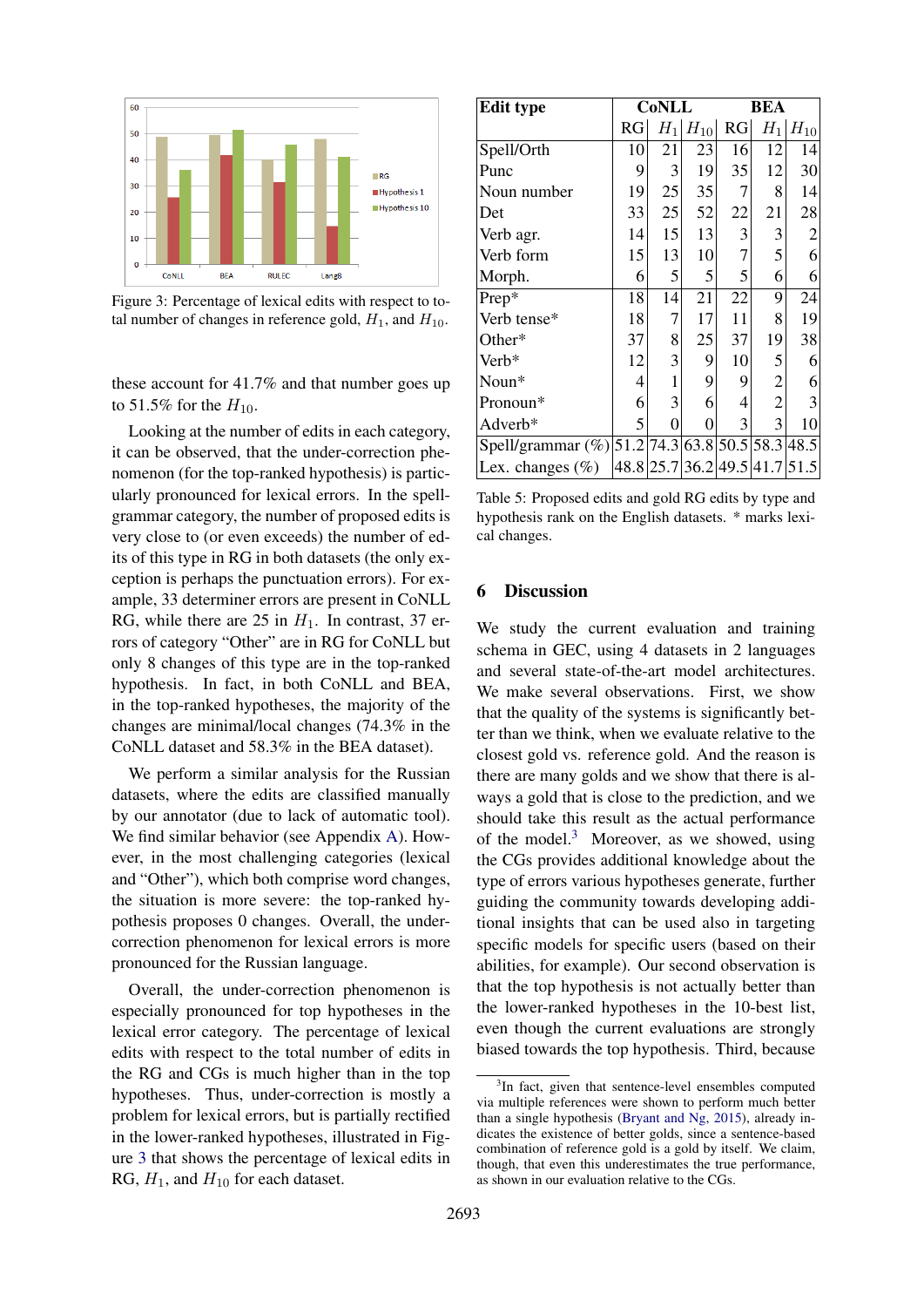<span id="page-7-1"></span>

Figure 3: Percentage of lexical edits with respect to total number of changes in reference gold,  $H_1$ , and  $H_{10}$ .

these account for 41.7% and that number goes up to 51.5% for the  $H_{10}$ .

Looking at the number of edits in each category, it can be observed, that the under-correction phenomenon (for the top-ranked hypothesis) is particularly pronounced for lexical errors. In the spellgrammar category, the number of proposed edits is very close to (or even exceeds) the number of edits of this type in RG in both datasets (the only exception is perhaps the punctuation errors). For example, 33 determiner errors are present in CoNLL RG, while there are 25 in  $H_1$ . In contrast, 37 errors of category "Other" are in RG for CoNLL but only 8 changes of this type are in the top-ranked hypothesis. In fact, in both CoNLL and BEA, in the top-ranked hypotheses, the majority of the changes are minimal/local changes (74.3% in the CoNLL dataset and 58.3% in the BEA dataset).

We perform a similar analysis for the Russian datasets, where the edits are classified manually by our annotator (due to lack of automatic tool). We find similar behavior (see Appendix [A\)](#page-10-0). However, in the most challenging categories (lexical and "Other"), which both comprise word changes, the situation is more severe: the top-ranked hypothesis proposes 0 changes. Overall, the undercorrection phenomenon for lexical errors is more pronounced for the Russian language.

Overall, the under-correction phenomenon is especially pronounced for top hypotheses in the lexical error category. The percentage of lexical edits with respect to the total number of edits in the RG and CGs is much higher than in the top hypotheses. Thus, under-correction is mostly a problem for lexical errors, but is partially rectified in the lower-ranked hypotheses, illustrated in Figure [3](#page-7-1) that shows the percentage of lexical edits in RG,  $H_1$ , and  $H_{10}$  for each dataset.

<span id="page-7-0"></span>

| <b>Edit type</b>                           |    | <b>CoNLL</b>   |                               |    | <b>BEA</b>     |                 |  |
|--------------------------------------------|----|----------------|-------------------------------|----|----------------|-----------------|--|
|                                            | RG | $H_1$          | $H_{10}$                      | RG | $H_1$          | $H_{10}$        |  |
| Spell/Orth                                 | 10 | 21             | 23                            | 16 | 12             | 4               |  |
| Punc                                       | 9  | 3              | 19                            | 35 | 12             | $30$            |  |
| Noun number                                | 19 | 25             | 35                            | 7  | 8              | 14              |  |
| Det                                        | 33 | 25             | 52                            | 22 | 21             | 28              |  |
| Verb agr.                                  | 14 | 15             | 13                            | 3  | 3              | $\overline{2}$  |  |
| Verb form                                  | 15 | 13             | 10                            | 7  | 5              | $6\vert$        |  |
| Morph.                                     | 6  | 5              | 5                             | 5  | 6              | $\vert 6 \vert$ |  |
| Prep*                                      | 18 | 14             | 21                            | 22 | 9              | 24              |  |
| Verb tense*                                | 18 | 7              | 17                            | 11 | 8              | 19              |  |
| Other*                                     | 37 | 8              | 25                            | 37 | 19             | 38              |  |
| Verb*                                      | 12 | 3              | 9                             | 10 | 5              | 6               |  |
| Noun*                                      | 4  | 1              | 9                             | 9  | $\overline{c}$ | 6               |  |
| Pronoun*                                   | 6  | 3              | 6                             | 4  | $\overline{2}$ | $\overline{3}$  |  |
| Adverb*                                    | 5  | $\overline{0}$ | $\overline{0}$                | 3  | 3              | 10              |  |
| Spell/grammar (%) 51.2 74.3 63.8 50.5 58.3 |    |                |                               |    |                | 48.5            |  |
| Lex. changes $(\%)$                        |    |                | 48.8 25.7 36.2 49.5 41.7 51.5 |    |                |                 |  |

Table 5: Proposed edits and gold RG edits by type and hypothesis rank on the English datasets. \* marks lexical changes.

## 6 Discussion

We study the current evaluation and training schema in GEC, using 4 datasets in 2 languages and several state-of-the-art model architectures. We make several observations. First, we show that the quality of the systems is significantly better than we think, when we evaluate relative to the closest gold vs. reference gold. And the reason is there are many golds and we show that there is always a gold that is close to the prediction, and we should take this result as the actual performance of the model. $3$  Moreover, as we showed, using the CGs provides additional knowledge about the type of errors various hypotheses generate, further guiding the community towards developing additional insights that can be used also in targeting specific models for specific users (based on their abilities, for example). Our second observation is that the top hypothesis is not actually better than the lower-ranked hypotheses in the 10-best list, even though the current evaluations are strongly biased towards the top hypothesis. Third, because

<span id="page-7-2"></span><sup>&</sup>lt;sup>3</sup>In fact, given that sentence-level ensembles computed via multiple references were shown to perform much better than a single hypothesis [\(Bryant and Ng,](#page-8-2) [2015\)](#page-8-2), already indicates the existence of better golds, since a sentence-based combination of reference gold is a gold by itself. We claim, though, that even this underestimates the true performance, as shown in our evaluation relative to the CGs.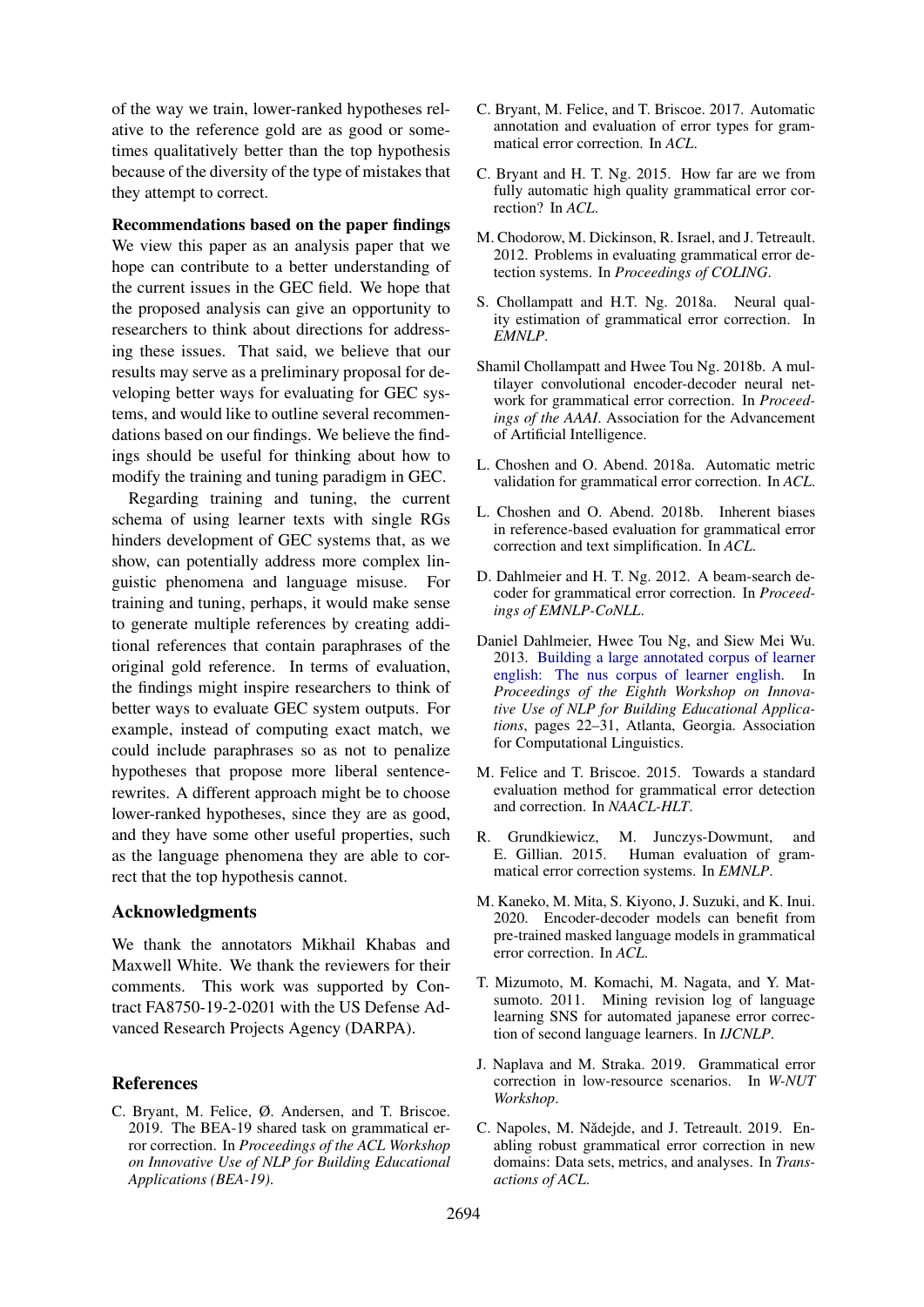of the way we train, lower-ranked hypotheses relative to the reference gold are as good or sometimes qualitatively better than the top hypothesis because of the diversity of the type of mistakes that they attempt to correct.

### Recommendations based on the paper findings

We view this paper as an analysis paper that we hope can contribute to a better understanding of the current issues in the GEC field. We hope that the proposed analysis can give an opportunity to researchers to think about directions for addressing these issues. That said, we believe that our results may serve as a preliminary proposal for developing better ways for evaluating for GEC systems, and would like to outline several recommendations based on our findings. We believe the findings should be useful for thinking about how to modify the training and tuning paradigm in GEC.

Regarding training and tuning, the current schema of using learner texts with single RGs hinders development of GEC systems that, as we show, can potentially address more complex linguistic phenomena and language misuse. For training and tuning, perhaps, it would make sense to generate multiple references by creating additional references that contain paraphrases of the original gold reference. In terms of evaluation, the findings might inspire researchers to think of better ways to evaluate GEC system outputs. For example, instead of computing exact match, we could include paraphrases so as not to penalize hypotheses that propose more liberal sentencerewrites. A different approach might be to choose lower-ranked hypotheses, since they are as good, and they have some other useful properties, such as the language phenomena they are able to correct that the top hypothesis cannot.

### Acknowledgments

We thank the annotators Mikhail Khabas and Maxwell White. We thank the reviewers for their comments. This work was supported by Contract FA8750-19-2-0201 with the US Defense Advanced Research Projects Agency (DARPA).

### **References**

<span id="page-8-10"></span>C. Bryant, M. Felice, Ø. Andersen, and T. Briscoe. 2019. The BEA-19 shared task on grammatical error correction. In *Proceedings of the ACL Workshop on Innovative Use of NLP for Building Educational Applications (BEA-19)*.

- <span id="page-8-6"></span>C. Bryant, M. Felice, and T. Briscoe. 2017. Automatic annotation and evaluation of error types for grammatical error correction. In *ACL*.
- <span id="page-8-2"></span>C. Bryant and H. T. Ng. 2015. How far are we from fully automatic high quality grammatical error correction? In *ACL*.
- <span id="page-8-0"></span>M. Chodorow, M. Dickinson, R. Israel, and J. Tetreault. 2012. Problems in evaluating grammatical error detection systems. In *Proceedings of COLING*.
- <span id="page-8-15"></span>S. Chollampatt and H.T. Ng. 2018a. Neural quality estimation of grammatical error correction. In *EMNLP*.
- <span id="page-8-14"></span>Shamil Chollampatt and Hwee Tou Ng. 2018b. A multilayer convolutional encoder-decoder neural network for grammatical error correction. In *Proceedings of the AAAI*. Association for the Advancement of Artificial Intelligence.
- <span id="page-8-4"></span>L. Choshen and O. Abend. 2018a. Automatic metric validation for grammatical error correction. In *ACL*.
- <span id="page-8-3"></span>L. Choshen and O. Abend. 2018b. Inherent biases in reference-based evaluation for grammatical error correction and text simplification. In *ACL*.
- <span id="page-8-5"></span>D. Dahlmeier and H. T. Ng. 2012. A beam-search decoder for grammatical error correction. In *Proceedings of EMNLP-CoNLL*.
- <span id="page-8-9"></span>Daniel Dahlmeier, Hwee Tou Ng, and Siew Mei Wu. 2013. [Building a large annotated corpus of learner](http://www.aclweb.org/anthology/W13-1703) [english: The nus corpus of learner english.](http://www.aclweb.org/anthology/W13-1703) In *Proceedings of the Eighth Workshop on Innovative Use of NLP for Building Educational Applications*, pages 22–31, Atlanta, Georgia. Association for Computational Linguistics.
- <span id="page-8-1"></span>M. Felice and T. Briscoe. 2015. Towards a standard evaluation method for grammatical error detection and correction. In *NAACL-HLT*.
- <span id="page-8-7"></span>R. Grundkiewicz, M. Junczys-Dowmunt, and E. Gillian. 2015. Human evaluation of grammatical error correction systems. In *EMNLP*.
- <span id="page-8-12"></span>M. Kaneko, M. Mita, S. Kiyono, J. Suzuki, and K. Inui. 2020. Encoder-decoder models can benefit from pre-trained masked language models in grammatical error correction. In *ACL*.
- <span id="page-8-11"></span>T. Mizumoto, M. Komachi, M. Nagata, and Y. Matsumoto. 2011. Mining revision log of language learning SNS for automated japanese error correction of second language learners. In *IJCNLP*.
- <span id="page-8-13"></span>J. Naplava and M. Straka. 2019. Grammatical error correction in low-resource scenarios. In *W-NUT Workshop*.
- <span id="page-8-8"></span>C. Napoles, M. Nǎdejde, and J. Tetreault. 2019. Enabling robust grammatical error correction in new domains: Data sets, metrics, and analyses. In *Transactions of ACL*.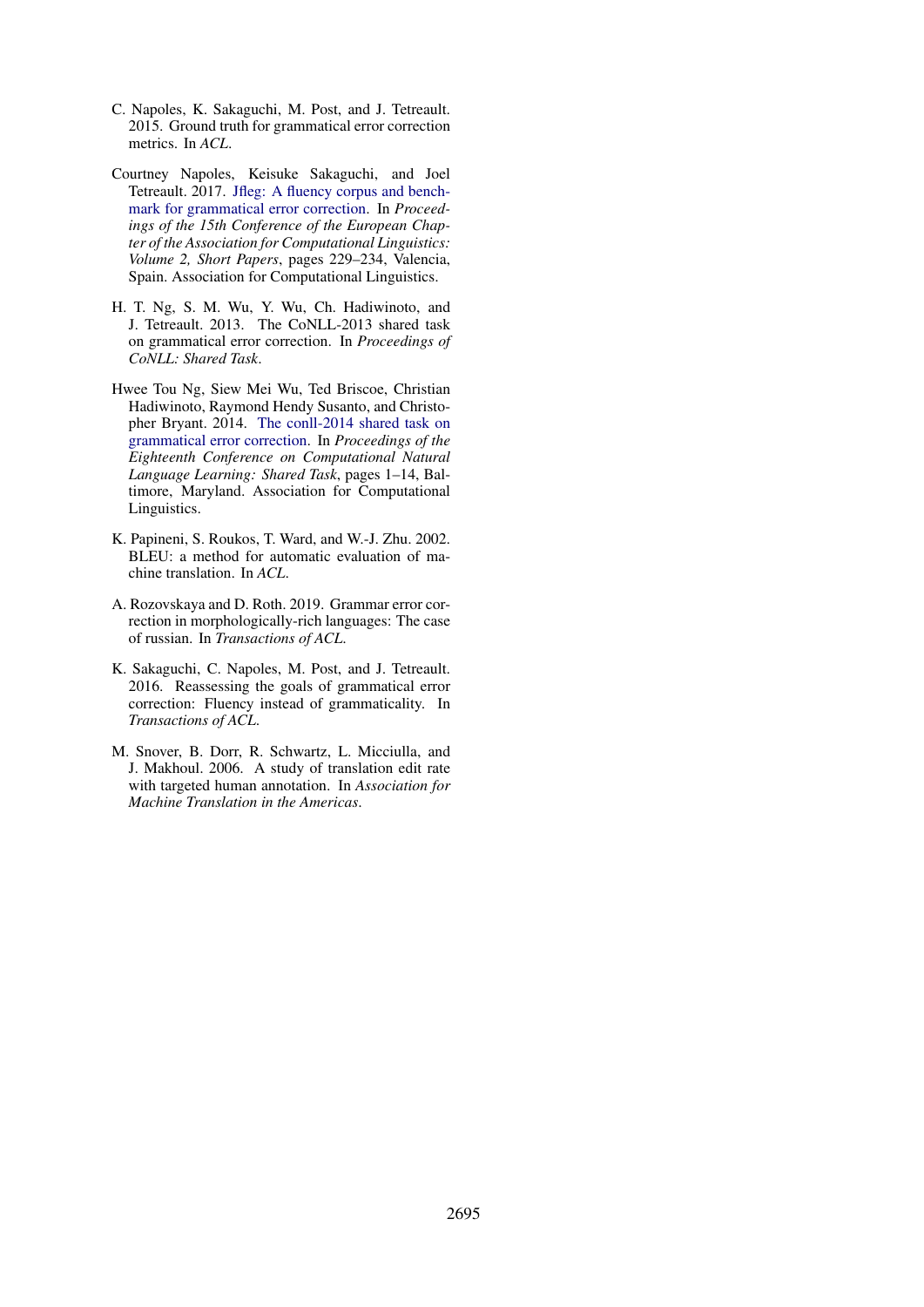- <span id="page-9-1"></span>C. Napoles, K. Sakaguchi, M. Post, and J. Tetreault. 2015. Ground truth for grammatical error correction metrics. In *ACL*.
- <span id="page-9-5"></span>Courtney Napoles, Keisuke Sakaguchi, and Joel Tetreault. 2017. [Jfleg: A fluency corpus and bench](http://www.aclweb.org/anthology/E17-2037)[mark for grammatical error correction.](http://www.aclweb.org/anthology/E17-2037) In *Proceedings of the 15th Conference of the European Chapter of the Association for Computational Linguistics: Volume 2, Short Papers*, pages 229–234, Valencia, Spain. Association for Computational Linguistics.
- <span id="page-9-3"></span>H. T. Ng, S. M. Wu, Y. Wu, Ch. Hadiwinoto, and J. Tetreault. 2013. The CoNLL-2013 shared task on grammatical error correction. In *Proceedings of CoNLL: Shared Task*.
- <span id="page-9-4"></span>Hwee Tou Ng, Siew Mei Wu, Ted Briscoe, Christian Hadiwinoto, Raymond Hendy Susanto, and Christopher Bryant. 2014. [The conll-2014 shared task on](http://www.aclweb.org/anthology/W14-1701) [grammatical error correction.](http://www.aclweb.org/anthology/W14-1701) In *Proceedings of the Eighteenth Conference on Computational Natural Language Learning: Shared Task*, pages 1–14, Baltimore, Maryland. Association for Computational Linguistics.
- <span id="page-9-2"></span>K. Papineni, S. Roukos, T. Ward, and W.-J. Zhu. 2002. BLEU: a method for automatic evaluation of machine translation. In *ACL*.
- <span id="page-9-6"></span>A. Rozovskaya and D. Roth. 2019. Grammar error correction in morphologically-rich languages: The case of russian. In *Transactions of ACL*.
- <span id="page-9-0"></span>K. Sakaguchi, C. Napoles, M. Post, and J. Tetreault. 2016. Reassessing the goals of grammatical error correction: Fluency instead of grammaticality. In *Transactions of ACL*.
- <span id="page-9-7"></span>M. Snover, B. Dorr, R. Schwartz, L. Micciulla, and J. Makhoul. 2006. A study of translation edit rate with targeted human annotation. In *Association for Machine Translation in the Americas*.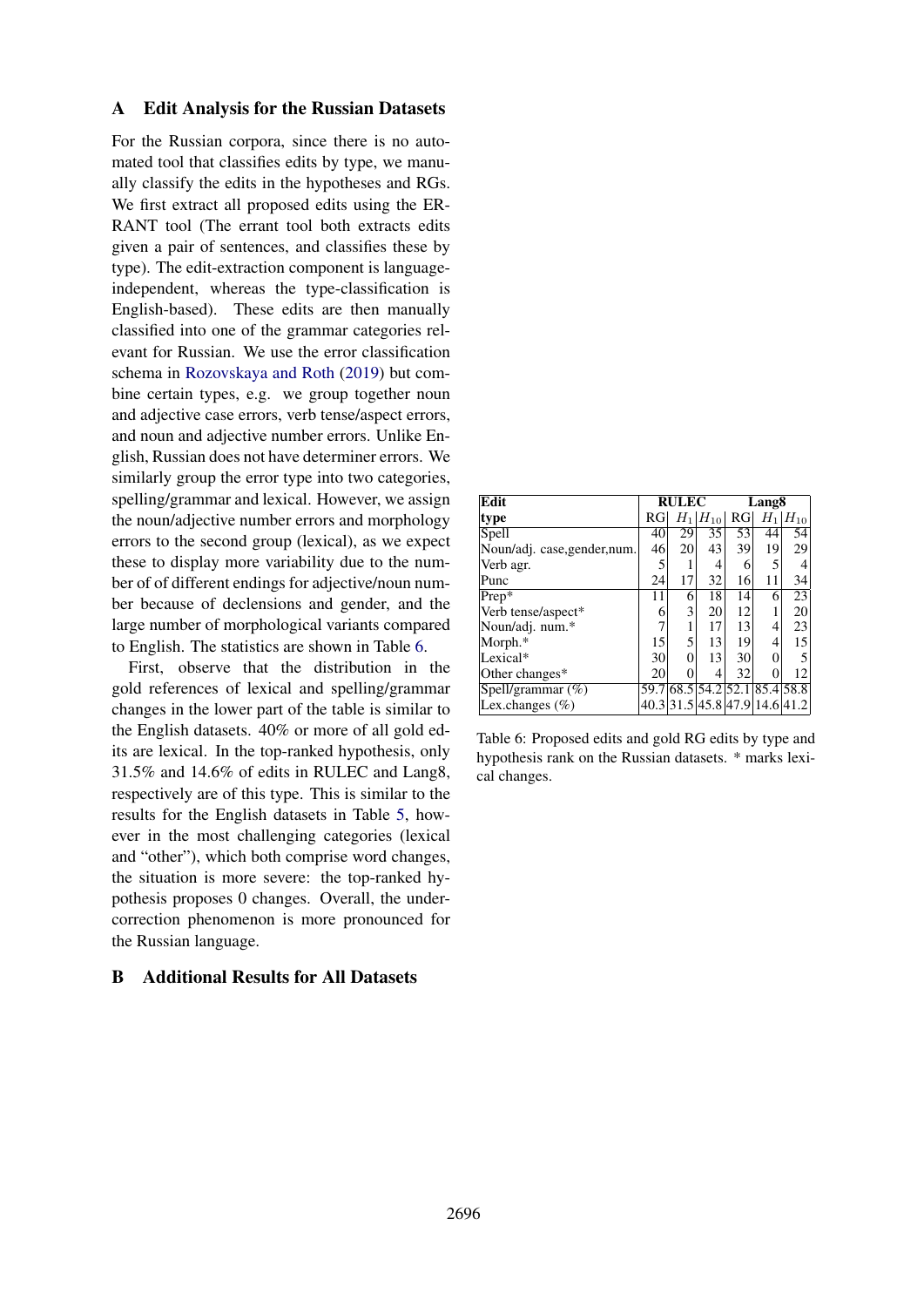## <span id="page-10-0"></span>A Edit Analysis for the Russian Datasets

For the Russian corpora, since there is no automated tool that classifies edits by type, we manually classify the edits in the hypotheses and RGs. We first extract all proposed edits using the ER-RANT tool (The errant tool both extracts edits given a pair of sentences, and classifies these by type). The edit-extraction component is languageindependent, whereas the type-classification is English-based). These edits are then manually classified into one of the grammar categories relevant for Russian. We use the error classification schema in [Rozovskaya and Roth](#page-9-6) [\(2019\)](#page-9-6) but combine certain types, e.g. we group together noun and adjective case errors, verb tense/aspect errors, and noun and adjective number errors. Unlike English, Russian does not have determiner errors. We similarly group the error type into two categories, spelling/grammar and lexical. However, we assign the noun/adjective number errors and morphology errors to the second group (lexical), as we expect these to display more variability due to the number of of different endings for adjective/noun number because of declensions and gender, and the large number of morphological variants compared to English. The statistics are shown in Table [6.](#page-10-1)

First, observe that the distribution in the gold references of lexical and spelling/grammar changes in the lower part of the table is similar to the English datasets. 40% or more of all gold edits are lexical. In the top-ranked hypothesis, only 31.5% and 14.6% of edits in RULEC and Lang8, respectively are of this type. This is similar to the results for the English datasets in Table [5,](#page-7-0) however in the most challenging categories (lexical and "other"), which both comprise word changes, the situation is more severe: the top-ranked hypothesis proposes 0 changes. Overall, the undercorrection phenomenon is more pronounced for the Russian language.

# B Additional Results for All Datasets

<span id="page-10-1"></span>

| Edit                         |                 | <b>RULEC</b> |                               |                 | Lang <sub>8</sub> |          |  |
|------------------------------|-----------------|--------------|-------------------------------|-----------------|-------------------|----------|--|
| type                         | RG <sub>l</sub> |              | $H_1 H_{10} $                 | RG <sub>l</sub> | $H_1$             | $H_{10}$ |  |
| Spell                        | 40              | 29           | 35                            | 53              | 44                | 54       |  |
| Noun/adj. case, gender, num. | 46              | 20           | 43                            | 39              | 19                | 29       |  |
| Verb agr.                    | 5               |              | 4                             | 6               | 5                 |          |  |
| Punc                         | 24              | 17           | 32                            | 16              | 11                | 34       |  |
| $Prep*$                      | 11              | 6            | 18                            | 14              | 6                 | 23       |  |
| Verb tense/aspect*           | 6               | 3            | 20                            | 12              |                   | 20       |  |
| Noun/adj. num.*              |                 |              | 17                            | 13              | 4                 | 23       |  |
| Morph.*                      | 15              | 5            | 13                            | 19              | 4                 | 15       |  |
| Lexical*                     | 30              | $\theta$     | 13                            | 30              | 0                 |          |  |
| Other changes*               | 20              | 0            | 4                             | 32              |                   | 12       |  |
| Spell/grammar $(\%)$         |                 |              | 59.7 68.5 54.2 52.1           |                 | 85.4 58.8         |          |  |
| Lex.changes $(\% )$          |                 |              | 40.3 31.5 45.8 47.9 14.6 41.2 |                 |                   |          |  |

Table 6: Proposed edits and gold RG edits by type and hypothesis rank on the Russian datasets. \* marks lexical changes.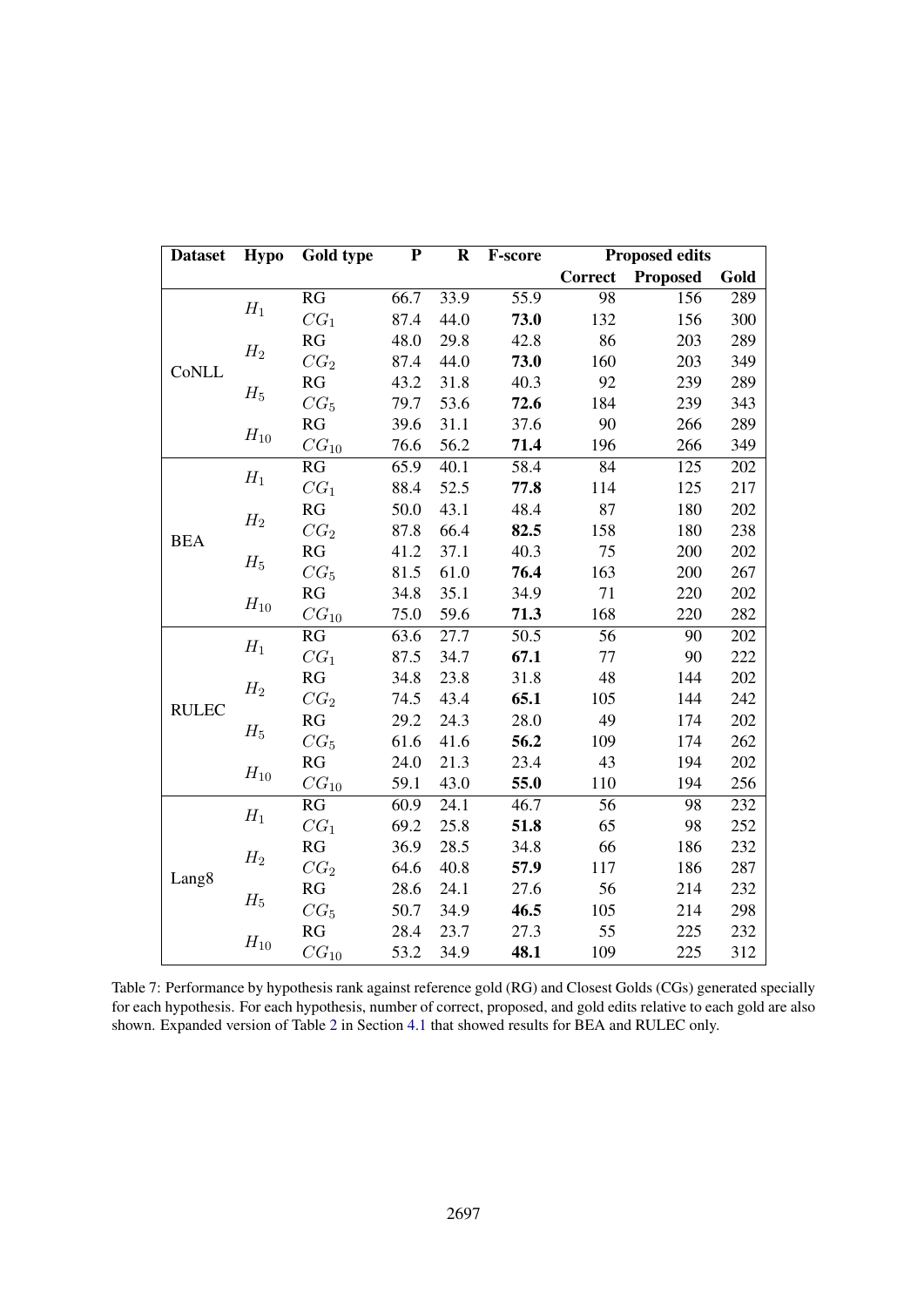<span id="page-11-0"></span>

| <b>Dataset</b>    | <b>Hypo</b>     | <b>Gold type</b>   | ${\bf P}$       | $\mathbf R$                                                                                                                                                                                                                                                                                                                                                                                                                                                                                                                                                                                                                                                                                                                                                          | F-score          |                | <b>Proposed edits</b> |      |     |
|-------------------|-----------------|--------------------|-----------------|----------------------------------------------------------------------------------------------------------------------------------------------------------------------------------------------------------------------------------------------------------------------------------------------------------------------------------------------------------------------------------------------------------------------------------------------------------------------------------------------------------------------------------------------------------------------------------------------------------------------------------------------------------------------------------------------------------------------------------------------------------------------|------------------|----------------|-----------------------|------|-----|
|                   |                 |                    |                 |                                                                                                                                                                                                                                                                                                                                                                                                                                                                                                                                                                                                                                                                                                                                                                      |                  | <b>Correct</b> | <b>Proposed</b>       | Gold |     |
|                   | ${\cal H}_1$    | RG                 | 66.7            | $\overline{55.9}$<br>98<br>33.9<br>44.0<br>132<br>73.0<br>29.8<br>42.8<br>86<br>160<br>44.0<br>73.0<br>40.3<br>92<br>31.8<br>53.6<br>184<br>72.6<br>31.1<br>90<br>37.6<br>56.2<br>71.4<br>196<br>40.1<br>84<br>58.4<br>52.5<br>77.8<br>114<br>43.1<br>48.4<br>87<br>66.4<br>82.5<br>158<br>37.1<br>40.3<br>75<br>61.0<br>76.4<br>163<br>35.1<br>71<br>34.9<br>168<br>59.6<br>71.3<br>$\overline{56}$<br>27.7<br>50.5<br>77<br>34.7<br>67.1<br>48<br>23.8<br>31.8<br>65.1<br>105<br>43.4<br>49<br>24.3<br>28.0<br>56.2<br>109<br>41.6<br>21.3<br>23.4<br>43<br>43.0<br>55.0<br>110<br>24.1<br>56<br>46.7<br>25.8<br>65<br>51.8<br>66<br>28.5<br>34.8<br>40.8<br>57.9<br>117<br>56<br>24.1<br>27.6<br>34.9<br>46.5<br>105<br>23.7<br>55<br>27.3<br>34.9<br>48.1<br>109 | $\overline{156}$ | 289            |                       |      |     |
|                   |                 | CG <sub>1</sub>    | 87.4            |                                                                                                                                                                                                                                                                                                                                                                                                                                                                                                                                                                                                                                                                                                                                                                      |                  |                | 156                   | 300  |     |
|                   | $H_2$           | RG                 | 48.0            |                                                                                                                                                                                                                                                                                                                                                                                                                                                                                                                                                                                                                                                                                                                                                                      |                  |                | 203                   | 289  |     |
|                   | CoNLL           |                    | CG <sub>2</sub> | 87.4                                                                                                                                                                                                                                                                                                                                                                                                                                                                                                                                                                                                                                                                                                                                                                 |                  |                |                       | 203  | 349 |
|                   | $\mathcal{H}_5$ | RG                 | 43.2            |                                                                                                                                                                                                                                                                                                                                                                                                                                                                                                                                                                                                                                                                                                                                                                      |                  |                | 239                   | 289  |     |
|                   |                 | $CG_5$             | 79.7            |                                                                                                                                                                                                                                                                                                                                                                                                                                                                                                                                                                                                                                                                                                                                                                      |                  |                | 239                   | 343  |     |
|                   | $H_{10}$        | RG                 | 39.6            |                                                                                                                                                                                                                                                                                                                                                                                                                                                                                                                                                                                                                                                                                                                                                                      |                  |                | 266                   | 289  |     |
|                   |                 | $CG_{10}$          | 76.6            |                                                                                                                                                                                                                                                                                                                                                                                                                                                                                                                                                                                                                                                                                                                                                                      |                  |                | 266                   | 349  |     |
|                   | $\mathcal{H}_1$ | RG                 | 65.9            |                                                                                                                                                                                                                                                                                                                                                                                                                                                                                                                                                                                                                                                                                                                                                                      |                  |                | 125                   | 202  |     |
|                   |                 | CG <sub>1</sub>    | 88.4            |                                                                                                                                                                                                                                                                                                                                                                                                                                                                                                                                                                                                                                                                                                                                                                      |                  |                | 125                   | 217  |     |
|                   | $H_2$           | RG                 | 50.0            |                                                                                                                                                                                                                                                                                                                                                                                                                                                                                                                                                                                                                                                                                                                                                                      |                  |                | 180                   | 202  |     |
| <b>BEA</b>        |                 | CG <sub>2</sub>    | 87.8            |                                                                                                                                                                                                                                                                                                                                                                                                                                                                                                                                                                                                                                                                                                                                                                      |                  |                | 180                   | 238  |     |
|                   | $\mathcal{H}_5$ | RG                 | 41.2            |                                                                                                                                                                                                                                                                                                                                                                                                                                                                                                                                                                                                                                                                                                                                                                      |                  |                | 200                   | 202  |     |
|                   |                 | $CG_5$             | 81.5            |                                                                                                                                                                                                                                                                                                                                                                                                                                                                                                                                                                                                                                                                                                                                                                      |                  |                | 200                   | 267  |     |
|                   |                 | RG                 | 34.8            |                                                                                                                                                                                                                                                                                                                                                                                                                                                                                                                                                                                                                                                                                                                                                                      |                  |                | 220                   | 202  |     |
|                   | $H_{10}$        | $CG_{10}$          | 75.0            |                                                                                                                                                                                                                                                                                                                                                                                                                                                                                                                                                                                                                                                                                                                                                                      |                  |                | 220                   | 282  |     |
|                   | $H_1$           | RG                 | 63.6            |                                                                                                                                                                                                                                                                                                                                                                                                                                                                                                                                                                                                                                                                                                                                                                      |                  |                | 90                    | 202  |     |
|                   |                 | CG <sub>1</sub>    | 87.5            |                                                                                                                                                                                                                                                                                                                                                                                                                                                                                                                                                                                                                                                                                                                                                                      |                  |                | 90                    | 222  |     |
|                   | $H_2$           | RG                 | 34.8            |                                                                                                                                                                                                                                                                                                                                                                                                                                                                                                                                                                                                                                                                                                                                                                      |                  |                | 144                   | 202  |     |
| <b>RULEC</b>      |                 | CG <sub>2</sub>    | 74.5            |                                                                                                                                                                                                                                                                                                                                                                                                                                                                                                                                                                                                                                                                                                                                                                      |                  |                | 144                   | 242  |     |
|                   | $\mathcal{H}_5$ | RG                 | 29.2            |                                                                                                                                                                                                                                                                                                                                                                                                                                                                                                                                                                                                                                                                                                                                                                      |                  |                | 174                   | 202  |     |
|                   |                 | ${\cal C}G_5$      | 61.6            |                                                                                                                                                                                                                                                                                                                                                                                                                                                                                                                                                                                                                                                                                                                                                                      |                  |                | 174                   | 262  |     |
|                   | $H_{10}$        | RG                 | 24.0            |                                                                                                                                                                                                                                                                                                                                                                                                                                                                                                                                                                                                                                                                                                                                                                      |                  |                | 194                   | 202  |     |
|                   |                 | $CG_{10}$          | 59.1            |                                                                                                                                                                                                                                                                                                                                                                                                                                                                                                                                                                                                                                                                                                                                                                      |                  |                | 194                   | 256  |     |
|                   | $H_1$           | RG                 | 60.9            |                                                                                                                                                                                                                                                                                                                                                                                                                                                                                                                                                                                                                                                                                                                                                                      |                  |                | 98                    | 232  |     |
|                   |                 | $CG_1$             | 69.2            |                                                                                                                                                                                                                                                                                                                                                                                                                                                                                                                                                                                                                                                                                                                                                                      |                  |                | 98                    | 252  |     |
|                   | $H_2$           | RG                 | 36.9            |                                                                                                                                                                                                                                                                                                                                                                                                                                                                                                                                                                                                                                                                                                                                                                      |                  |                | 186                   | 232  |     |
|                   |                 | CG <sub>2</sub>    | 64.6            |                                                                                                                                                                                                                                                                                                                                                                                                                                                                                                                                                                                                                                                                                                                                                                      |                  |                | 186                   | 287  |     |
| Lang <sub>8</sub> | $H_5$           | RG                 | 28.6            |                                                                                                                                                                                                                                                                                                                                                                                                                                                                                                                                                                                                                                                                                                                                                                      |                  |                | 214                   | 232  |     |
|                   |                 | $CG_5$             | 50.7            |                                                                                                                                                                                                                                                                                                                                                                                                                                                                                                                                                                                                                                                                                                                                                                      |                  |                | 214                   | 298  |     |
|                   |                 | RG                 | 28.4            |                                                                                                                                                                                                                                                                                                                                                                                                                                                                                                                                                                                                                                                                                                                                                                      |                  |                | 225                   | 232  |     |
|                   | $H_{10}$        | $\mathbb{C}G_{10}$ | 53.2            |                                                                                                                                                                                                                                                                                                                                                                                                                                                                                                                                                                                                                                                                                                                                                                      |                  |                | 225                   | 312  |     |

Table 7: Performance by hypothesis rank against reference gold (RG) and Closest Golds (CGs) generated specially for each hypothesis. For each hypothesis, number of correct, proposed, and gold edits relative to each gold are also shown. Expanded version of Table [2](#page-5-0) in Section [4.1](#page-4-0) that showed results for BEA and RULEC only.